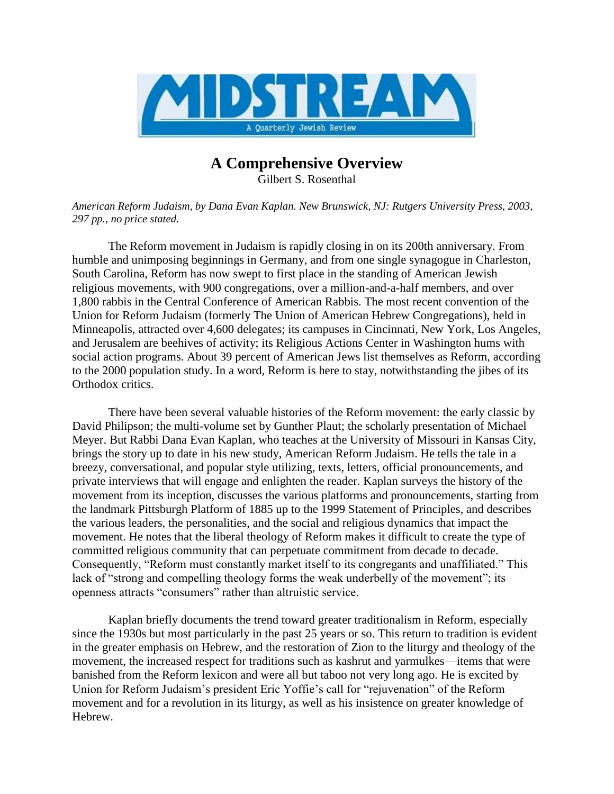

## **A Comprehensive Overview**

Gilbert S. Rosenthal

*American Reform Judaism, by Dana Evan Kaplan. New Brunswick, NJ: Rutgers University Press, 2003, 297 pp., no price stated.*

The Reform movement in Judaism is rapidly closing in on its 200th anniversary. From humble and unimposing beginnings in Germany, and from one single synagogue in Charleston, South Carolina, Reform has now swept to first place in the standing of American Jewish religious movements, with 900 congregations, over a million-and-a-half members, and over 1,800 rabbis in the Central Conference of American Rabbis. The most recent convention of the Union for Reform Judaism (formerly The Union of American Hebrew Congregations), held in Minneapolis, attracted over 4,600 delegates; its campuses in Cincinnati, New York, Los Angeles, and Jerusalem are beehives of activity; its Religious Actions Center in Washington hums with social action programs. About 39 percent of American Jews list themselves as Reform, according to the 2000 population study. In a word, Reform is here to stay, notwithstanding the jibes of its Orthodox critics.

There have been several valuable histories of the Reform movement: the early classic by David Philipson; the multi-volume set by Gunther Plaut; the scholarly presentation of Michael Meyer. But Rabbi Dana Evan Kaplan, who teaches at the University of Missouri in Kansas City, brings the story up to date in his new study, American Reform Judaism. He tells the tale in a breezy, conversational, and popular style utilizing, texts, letters, official pronouncements, and private interviews that will engage and enlighten the reader. Kaplan surveys the history of the movement from its inception, discusses the various platforms and pronouncements, starting from the landmark Pittsburgh Platform of 1885 up to the 1999 Statement of Principles, and describes the various leaders, the personalities, and the social and religious dynamics that impact the movement. He notes that the liberal theology of Reform makes it difficult to create the type of committed religious community that can perpetuate commitment from decade to decade. Consequently, "Reform must constantly market itself to its congregants and unaffiliated." This lack of "strong and compelling theology forms the weak underbelly of the movement"; its openness attracts "consumers" rather than altruistic service.

Kaplan briefly documents the trend toward greater traditionalism in Reform, especially since the 1930s but most particularly in the past 25 years or so. This return to tradition is evident in the greater emphasis on Hebrew, and the restoration of Zion to the liturgy and theology of the movement, the increased respect for traditions such as kashrut and yarmulkes—items that were banished from the Reform lexicon and were all but taboo not very long ago. He is excited by Union for Reform Judaism's president Eric Yoffie's call for "rejuvenation" of the Reform movement and for a revolution in its liturgy, as well as his insistence on greater knowledge of Hebrew.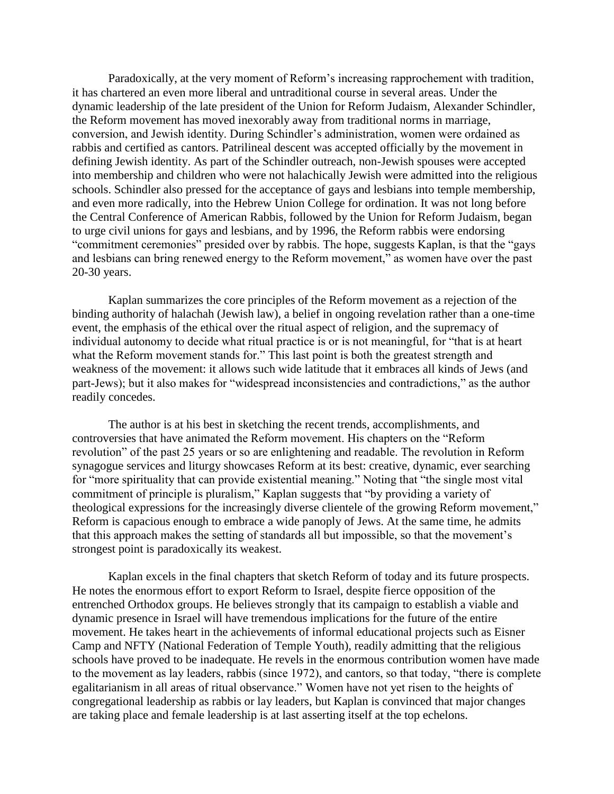Paradoxically, at the very moment of Reform's increasing rapprochement with tradition, it has chartered an even more liberal and untraditional course in several areas. Under the dynamic leadership of the late president of the Union for Reform Judaism, Alexander Schindler, the Reform movement has moved inexorably away from traditional norms in marriage, conversion, and Jewish identity. During Schindler's administration, women were ordained as rabbis and certified as cantors. Patrilineal descent was accepted officially by the movement in defining Jewish identity. As part of the Schindler outreach, non-Jewish spouses were accepted into membership and children who were not halachically Jewish were admitted into the religious schools. Schindler also pressed for the acceptance of gays and lesbians into temple membership, and even more radically, into the Hebrew Union College for ordination. It was not long before the Central Conference of American Rabbis, followed by the Union for Reform Judaism, began to urge civil unions for gays and lesbians, and by 1996, the Reform rabbis were endorsing "commitment ceremonies" presided over by rabbis. The hope, suggests Kaplan, is that the "gays and lesbians can bring renewed energy to the Reform movement," as women have over the past 20-30 years.

Kaplan summarizes the core principles of the Reform movement as a rejection of the binding authority of halachah (Jewish law), a belief in ongoing revelation rather than a one-time event, the emphasis of the ethical over the ritual aspect of religion, and the supremacy of individual autonomy to decide what ritual practice is or is not meaningful, for "that is at heart what the Reform movement stands for." This last point is both the greatest strength and weakness of the movement: it allows such wide latitude that it embraces all kinds of Jews (and part-Jews); but it also makes for "widespread inconsistencies and contradictions," as the author readily concedes.

The author is at his best in sketching the recent trends, accomplishments, and controversies that have animated the Reform movement. His chapters on the "Reform revolution" of the past 25 years or so are enlightening and readable. The revolution in Reform synagogue services and liturgy showcases Reform at its best: creative, dynamic, ever searching for "more spirituality that can provide existential meaning." Noting that "the single most vital commitment of principle is pluralism," Kaplan suggests that "by providing a variety of theological expressions for the increasingly diverse clientele of the growing Reform movement," Reform is capacious enough to embrace a wide panoply of Jews. At the same time, he admits that this approach makes the setting of standards all but impossible, so that the movement's strongest point is paradoxically its weakest.

Kaplan excels in the final chapters that sketch Reform of today and its future prospects. He notes the enormous effort to export Reform to Israel, despite fierce opposition of the entrenched Orthodox groups. He believes strongly that its campaign to establish a viable and dynamic presence in Israel will have tremendous implications for the future of the entire movement. He takes heart in the achievements of informal educational projects such as Eisner Camp and NFTY (National Federation of Temple Youth), readily admitting that the religious schools have proved to be inadequate. He revels in the enormous contribution women have made to the movement as lay leaders, rabbis (since 1972), and cantors, so that today, "there is complete egalitarianism in all areas of ritual observance." Women have not yet risen to the heights of congregational leadership as rabbis or lay leaders, but Kaplan is convinced that major changes are taking place and female leadership is at last asserting itself at the top echelons.